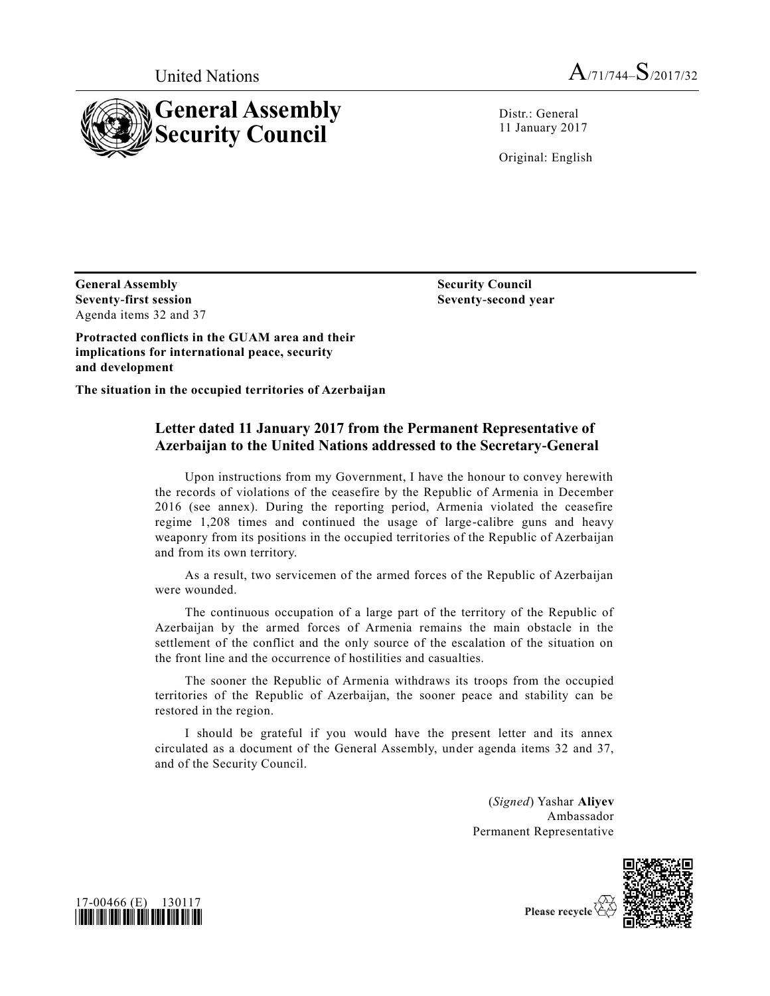



Distr.: General 11 January 2017

Original: English

**General Assembly Seventy-first session** Agenda items 32 and 37 **Security Council Seventy-second year**

**Protracted conflicts in the GUAM area and their implications for international peace, security and development**

**The situation in the occupied territories of Azerbaijan**

## **Letter dated 11 January 2017 from the Permanent Representative of Azerbaijan to the United Nations addressed to the Secretary-General**

Upon instructions from my Government, I have the honour to convey herewith the records of violations of the ceasefire by the Republic of Armenia in December 2016 (see annex). During the reporting period, Armenia violated the ceasefire regime 1,208 times and continued the usage of large-calibre guns and heavy weaponry from its positions in the occupied territories of the Republic of Azerbaijan and from its own territory.

As a result, two servicemen of the armed forces of the Republic of Azerbaijan were wounded.

The continuous occupation of a large part of the territory of the Republic of Azerbaijan by the armed forces of Armenia remains the main obstacle in the settlement of the conflict and the only source of the escalation of the situation on the front line and the occurrence of hostilities and casualties.

The sooner the Republic of Armenia withdraws its troops from the occupied territories of the Republic of Azerbaijan, the sooner peace and stability can be restored in the region.

I should be grateful if you would have the present letter and its annex circulated as a document of the General Assembly, under agenda items 32 and 37, and of the Security Council.

> (*Signed*) Yashar **Aliyev** Ambassador Permanent Representative





Please recycle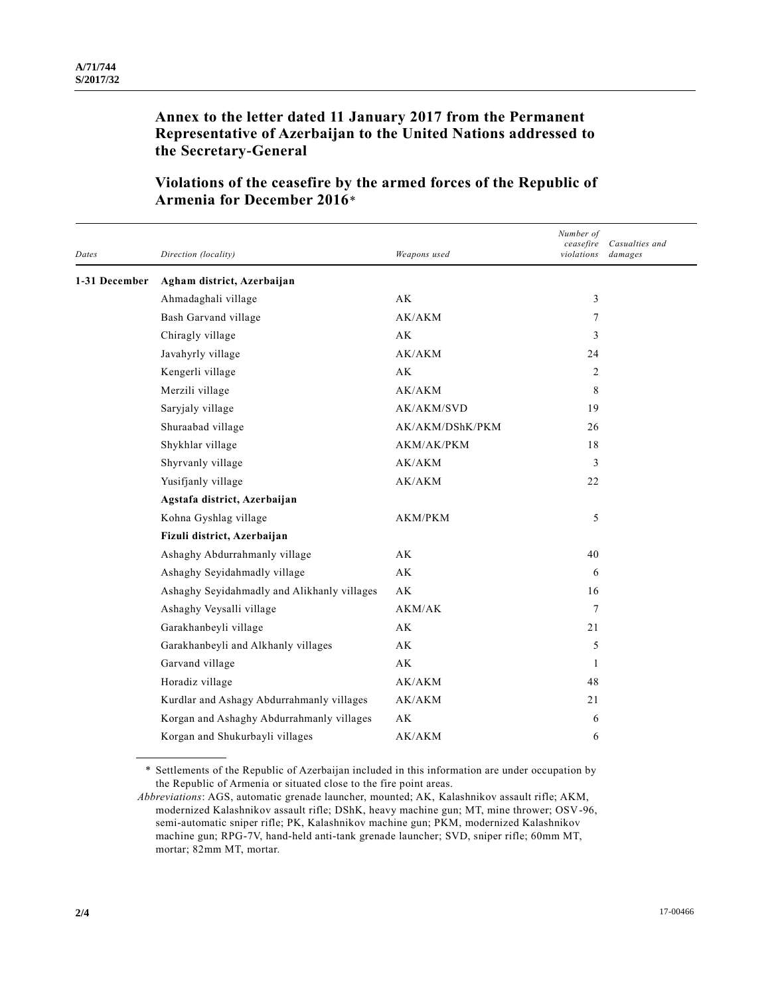## **Annex to the letter dated 11 January 2017 from the Permanent Representative of Azerbaijan to the United Nations addressed to the Secretary-General**

| Dates         | Direction (locality)                        | Weapons used           | Number of<br>ceasefire<br>violations | Casualties and<br>damages |
|---------------|---------------------------------------------|------------------------|--------------------------------------|---------------------------|
| 1-31 December | Agham district, Azerbaijan                  |                        |                                      |                           |
|               | Ahmadaghali village                         | $\mathbf{A}\mathbf{K}$ | 3                                    |                           |
|               | Bash Garvand village                        | AK/AKM                 | 7                                    |                           |
|               | Chiragly village                            | AK                     | 3                                    |                           |
|               | Javahyrly village                           | AK/AKM                 | 24                                   |                           |
|               | Kengerli village                            | AK                     | 2                                    |                           |
|               | Merzili village                             | AK/AKM                 | 8                                    |                           |
|               | Saryjaly village                            | <b>AK/AKM/SVD</b>      | 19                                   |                           |
|               | Shuraabad village                           | AK/AKM/DShK/PKM        | 26                                   |                           |
|               | Shykhlar village                            | AKM/AK/PKM             | 18                                   |                           |
|               | Shyrvanly village                           | AK/AKM                 | 3                                    |                           |
|               | Yusifjanly village                          | AK/AKM                 | 22                                   |                           |
|               | Agstafa district, Azerbaijan                |                        |                                      |                           |
|               | Kohna Gyshlag village                       | AKM/PKM                | 5                                    |                           |
|               | Fizuli district, Azerbaijan                 |                        |                                      |                           |
|               | Ashaghy Abdurrahmanly village               | AK                     | 40                                   |                           |
|               | Ashaghy Seyidahmadly village                | AK                     | 6                                    |                           |
|               | Ashaghy Seyidahmadly and Alikhanly villages | AK                     | 16                                   |                           |
|               | Ashaghy Veysalli village                    | AKM/AK                 | $\overline{7}$                       |                           |
|               | Garakhanbeyli village                       | AK                     | 21                                   |                           |
|               | Garakhanbeyli and Alkhanly villages         | AK                     | 5                                    |                           |
|               | Garvand village                             | AK                     | 1                                    |                           |
|               | Horadiz village                             | AK/AKM                 | 48                                   |                           |
|               | Kurdlar and Ashagy Abdurrahmanly villages   | AK/AKM                 | 21                                   |                           |
|               | Korgan and Ashaghy Abdurrahmanly villages   | AK                     | 6                                    |                           |
|               | Korgan and Shukurbayli villages             | AK/AKM                 | 6                                    |                           |

## **Violations of the ceasefire by the armed forces of the Republic of Armenia for December 2016**\*

\* Settlements of the Republic of Azerbaijan included in this information are under occupation by the Republic of Armenia or situated close to the fire point areas.

*Abbreviations*: AGS, automatic grenade launcher, mounted; AK, Kalashnikov assault rifle; AKM, modernized Kalashnikov assault rifle; DShK, heavy machine gun; MT, mine thrower; OSV-96, semi-automatic sniper rifle; PK, Kalashnikov machine gun; PKM, modernized Kalashnikov machine gun; RPG-7V, hand-held anti-tank grenade launcher; SVD, sniper rifle; 60mm MT, mortar; 82mm MT, mortar.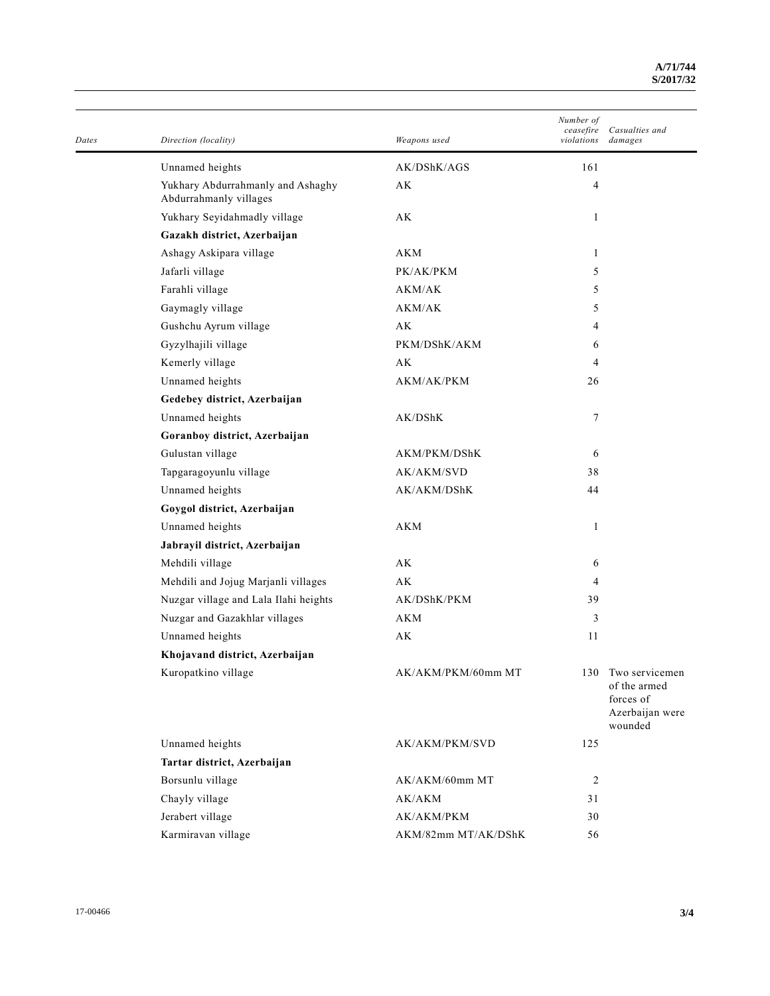| Dates | Direction (locality)                                        | Weapons used        | Number of<br>ceasefire<br>violations | Casualties and<br>damages                                                 |
|-------|-------------------------------------------------------------|---------------------|--------------------------------------|---------------------------------------------------------------------------|
|       | Unnamed heights                                             | AK/DShK/AGS         | 161                                  |                                                                           |
|       | Yukhary Abdurrahmanly and Ashaghy<br>Abdurrahmanly villages | AK                  | 4                                    |                                                                           |
|       | Yukhary Seyidahmadly village                                | АK                  | 1                                    |                                                                           |
|       | Gazakh district, Azerbaijan                                 |                     |                                      |                                                                           |
|       | Ashagy Askipara village                                     | AKM                 | 1                                    |                                                                           |
|       | Jafarli village                                             | PK/AK/PKM           | 5                                    |                                                                           |
|       | Farahli village                                             | AKM/AK              | 5                                    |                                                                           |
|       | Gaymagly village                                            | AKM/AK              | 5                                    |                                                                           |
|       | Gushchu Ayrum village                                       | AK                  | 4                                    |                                                                           |
|       | Gyzylhajili village                                         | PKM/DShK/AKM        | 6                                    |                                                                           |
|       | Kemerly village                                             | АK                  | 4                                    |                                                                           |
|       | Unnamed heights                                             | AKM/AK/PKM          | 26                                   |                                                                           |
|       | Gedebey district, Azerbaijan                                |                     |                                      |                                                                           |
|       | Unnamed heights                                             | AK/DShK             | 7                                    |                                                                           |
|       | Goranboy district, Azerbaijan                               |                     |                                      |                                                                           |
|       | Gulustan village                                            | AKM/PKM/DShK        | 6                                    |                                                                           |
|       | Tapgaragoyunlu village                                      | AK/AKM/SVD          | 38                                   |                                                                           |
|       | Unnamed heights                                             | AK/AKM/DShK         | 44                                   |                                                                           |
|       | Goygol district, Azerbaijan                                 |                     |                                      |                                                                           |
|       | Unnamed heights                                             | <b>AKM</b>          | 1                                    |                                                                           |
|       | Jabrayil district, Azerbaijan                               |                     |                                      |                                                                           |
|       | Mehdili village                                             | AK                  | 6                                    |                                                                           |
|       | Mehdili and Jojug Marjanli villages                         | АK                  | 4                                    |                                                                           |
|       | Nuzgar village and Lala Ilahi heights                       | AK/DShK/PKM         | 39                                   |                                                                           |
|       | Nuzgar and Gazakhlar villages                               | AKM                 | 3                                    |                                                                           |
|       | Unnamed heights                                             | AK                  | 11                                   |                                                                           |
|       | Khojavand district, Azerbaijan                              |                     |                                      |                                                                           |
|       | Kuropatkino village                                         | AK/AKM/PKM/60mm MT  | 130                                  | Two servicemen<br>of the armed<br>forces of<br>Azerbaijan were<br>wounded |
|       | Unnamed heights                                             | AK/AKM/PKM/SVD      | 125                                  |                                                                           |
|       | Tartar district, Azerbaijan                                 |                     |                                      |                                                                           |
|       | Borsunlu village                                            | AK/AKM/60mm MT      | $\overline{c}$                       |                                                                           |
|       | Chayly village                                              | AK/AKM              | 31                                   |                                                                           |
|       | Jerabert village                                            | AK/AKM/PKM          | 30                                   |                                                                           |
|       | Karmiravan village                                          | AKM/82mm MT/AK/DShK | 56                                   |                                                                           |